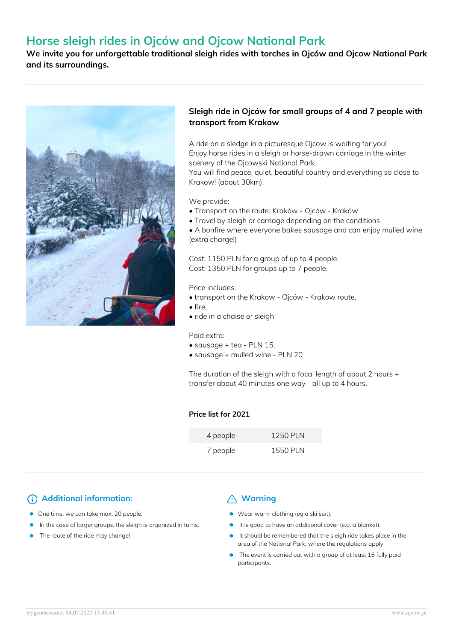# **Horse sleigh rides in Ojców and Ojcow National Park**

**We invite you for unforgettable traditional sleigh rides with torches in Ojców and Ojcow National Park and its surroundings.**



## **Sleigh ride in Ojców for small groups of 4 and 7 people with transport from Krakow**

A ride on a sledge in a picturesque Ojcow is waiting for you! Enjoy horse rides in a sleigh or horse-drawn carriage in the winter scenery of the Ojcowski National Park.

You will find peace, quiet, beautiful country and everything so close to Krakow! (about 30km).

#### We provide:

- Transport on the route: Kraków Ojców Kraków
- Travel by sleigh or carriage depending on the conditions
- A bonfire where everyone bakes sausage and can enjoy mulled wine (extra charge!)

Cost: 1150 PLN for a group of up to 4 people. Cost: 1350 PLN for groups up to 7 people.

Price includes:

- transport on the Krakow Ojców Krakow route,
- fire,
- ride in a chaise or sleigh

Paid extra:

- sausage + tea PLN 15,
- sausage + mulled wine PLN 20

The duration of the sleigh with a focal length of about 2 hours + transfer about 40 minutes one way - all up to 4 hours.

### **Price list for 2021**

| 4 people | <b>1250 PLN</b> |
|----------|-----------------|
| 7 people | <b>1550 PLN</b> |

# **Additional information:** All Marning

- One time, we can take max. 20 people.
- In the case of larger groups, the sleigh is organized in turns.
- The route of the ride may change!

- Wear warm clothing (eg a ski suit),
- It is good to have an additional cover (e.g. a blanket).
- It should be remembered that the sleigh ride takes place in the area of the National Park, where the regulations apply.
- The event is carried out with a group of at least 16 fully paid participants.